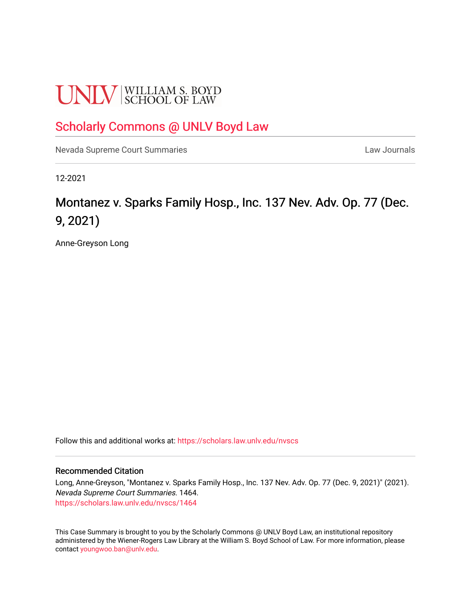# **UNLV** SCHOOL OF LAW

# [Scholarly Commons @ UNLV Boyd Law](https://scholars.law.unlv.edu/)

[Nevada Supreme Court Summaries](https://scholars.law.unlv.edu/nvscs) **Law Journals** Law Journals

12-2021

# Montanez v. Sparks Family Hosp., Inc. 137 Nev. Adv. Op. 77 (Dec. 9, 2021)

Anne-Greyson Long

Follow this and additional works at: [https://scholars.law.unlv.edu/nvscs](https://scholars.law.unlv.edu/nvscs?utm_source=scholars.law.unlv.edu%2Fnvscs%2F1464&utm_medium=PDF&utm_campaign=PDFCoverPages)

#### Recommended Citation

Long, Anne-Greyson, "Montanez v. Sparks Family Hosp., Inc. 137 Nev. Adv. Op. 77 (Dec. 9, 2021)" (2021). Nevada Supreme Court Summaries. 1464. [https://scholars.law.unlv.edu/nvscs/1464](https://scholars.law.unlv.edu/nvscs/1464?utm_source=scholars.law.unlv.edu%2Fnvscs%2F1464&utm_medium=PDF&utm_campaign=PDFCoverPages) 

This Case Summary is brought to you by the Scholarly Commons @ UNLV Boyd Law, an institutional repository administered by the Wiener-Rogers Law Library at the William S. Boyd School of Law. For more information, please contact [youngwoo.ban@unlv.edu](mailto:youngwoo.ban@unlv.edu).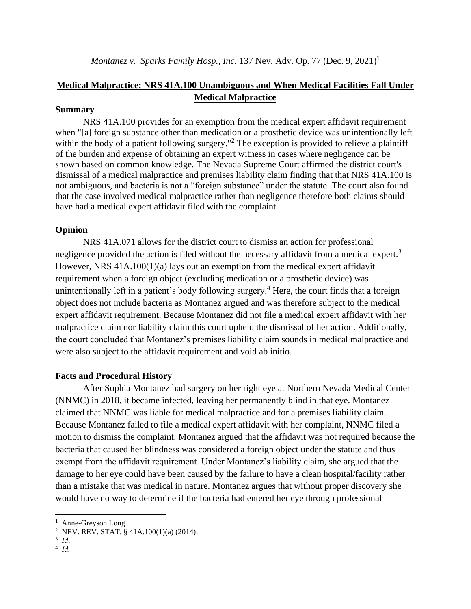## **Medical Malpractice: NRS 41A.100 Unambiguous and When Medical Facilities Fall Under Medical Malpractice**

#### **Summary**

NRS 41A.100 provides for an exemption from the medical expert affidavit requirement when "[a] foreign substance other than medication or a prosthetic device was unintentionally left within the body of a patient following surgery."<sup>2</sup> The exception is provided to relieve a plaintiff of the burden and expense of obtaining an expert witness in cases where negligence can be shown based on common knowledge. The Nevada Supreme Court affirmed the district court's dismissal of a medical malpractice and premises liability claim finding that that NRS 41A.100 is not ambiguous, and bacteria is not a "foreign substance" under the statute. The court also found that the case involved medical malpractice rather than negligence therefore both claims should have had a medical expert affidavit filed with the complaint.

#### **Opinion**

NRS 41A.071 allows for the district court to dismiss an action for professional negligence provided the action is filed without the necessary affidavit from a medical expert.<sup>3</sup> However, NRS 41A.100(1)(a) lays out an exemption from the medical expert affidavit requirement when a foreign object (excluding medication or a prosthetic device) was unintentionally left in a patient's body following surgery.<sup>4</sup> Here, the court finds that a foreign object does not include bacteria as Montanez argued and was therefore subject to the medical expert affidavit requirement. Because Montanez did not file a medical expert affidavit with her malpractice claim nor liability claim this court upheld the dismissal of her action. Additionally, the court concluded that Montanez's premises liability claim sounds in medical malpractice and were also subject to the affidavit requirement and void ab initio.

#### **Facts and Procedural History**

After Sophia Montanez had surgery on her right eye at Northern Nevada Medical Center (NNMC) in 2018, it became infected, leaving her permanently blind in that eye. Montanez claimed that NNMC was liable for medical malpractice and for a premises liability claim. Because Montanez failed to file a medical expert affidavit with her complaint, NNMC filed a motion to dismiss the complaint. Montanez argued that the affidavit was not required because the bacteria that caused her blindness was considered a foreign object under the statute and thus exempt from the affidavit requirement. Under Montanez's liability claim, she argued that the damage to her eye could have been caused by the failure to have a clean hospital/facility rather than a mistake that was medical in nature. Montanez argues that without proper discovery she would have no way to determine if the bacteria had entered her eye through professional

<sup>&</sup>lt;sup>1</sup> Anne-Greyson Long.

<sup>2</sup> NEV. REV. STAT. § 41A.100(1)(a) (2014).

<sup>3</sup>  *Id*. 4 *Id.*